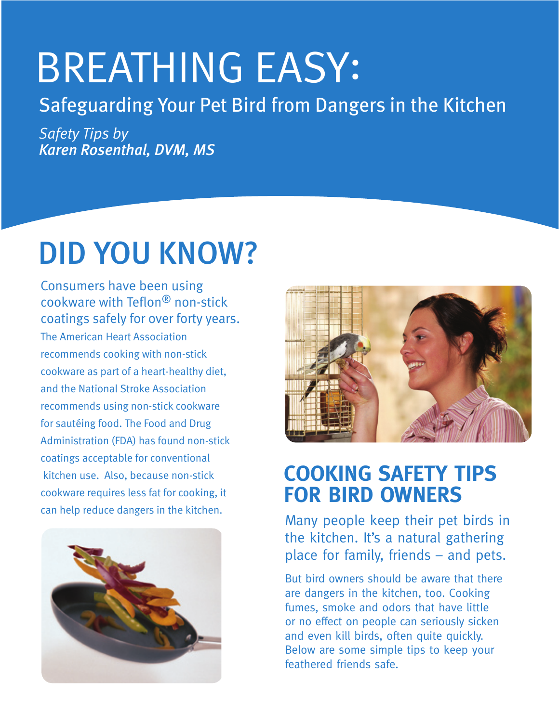# **BREATHING EASY:**

### Safeguarding Your Pet Bird from Dangers in the Kitchen

**Safety Tips by Karen Rosenthal, DVM, MS** 

## **DID YOU KNOW?**

**Consumers have been using** cookware with Teflon<sup>®</sup> non-stick coatings safely for over forty years. The American Heart Association recommends cooking with non-stick cookware as part of a heart-healthy diet, and the National Stroke Association recommends using non-stick cookware for sautéing food. The Food and Drug Administration (FDA) has found non-stick coatings acceptable for conventional kitchen use. Also, because non-stick cookware requires less fat for cooking, it can help reduce dangers in the kitchen.





## **COOKING SAFETY TIPS FOR BIRD OWNERS**

Many people keep their pet birds in the kitchen. It's a natural gathering place for family, friends - and pets.

But bird owners should be aware that there are dangers in the kitchen, too. Cooking fumes, smoke and odors that have little or no effect on people can seriously sicken and even kill birds, often quite quickly. Below are some simple tips to keep your feathered friends safe.